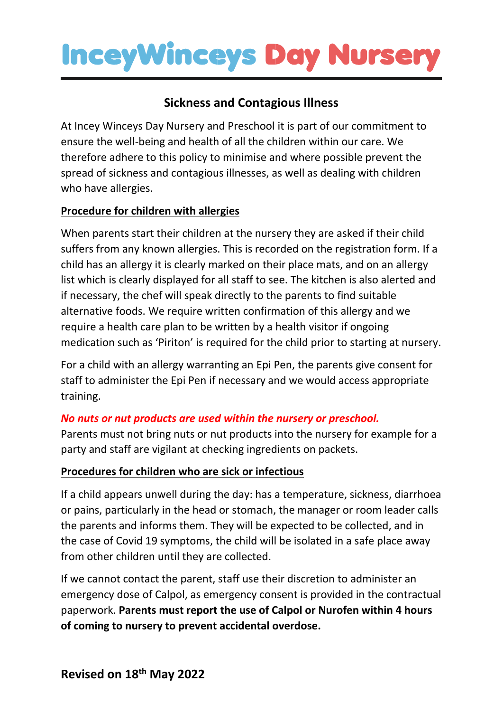## **InceyWinceys Day Nurser**

### **Sickness and Contagious Illness**

At Incey Winceys Day Nursery and Preschool it is part of our commitment to ensure the well-being and health of all the children within our care. We therefore adhere to this policy to minimise and where possible prevent the spread of sickness and contagious illnesses, as well as dealing with children who have allergies.

#### **Procedure for children with allergies**

When parents start their children at the nursery they are asked if their child suffers from any known allergies. This is recorded on the registration form. If a child has an allergy it is clearly marked on their place mats, and on an allergy list which is clearly displayed for all staff to see. The kitchen is also alerted and if necessary, the chef will speak directly to the parents to find suitable alternative foods. We require written confirmation of this allergy and we require a health care plan to be written by a health visitor if ongoing medication such as 'Piriton' is required for the child prior to starting at nursery.

For a child with an allergy warranting an Epi Pen, the parents give consent for staff to administer the Epi Pen if necessary and we would access appropriate training.

#### *No nuts or nut products are used within the nursery or preschool.*

Parents must not bring nuts or nut products into the nursery for example for a party and staff are vigilant at checking ingredients on packets.

#### **Procedures for children who are sick or infectious**

If a child appears unwell during the day: has a temperature, sickness, diarrhoea or pains, particularly in the head or stomach, the manager or room leader calls the parents and informs them. They will be expected to be collected, and in the case of Covid 19 symptoms, the child will be isolated in a safe place away from other children until they are collected.

If we cannot contact the parent, staff use their discretion to administer an emergency dose of Calpol, as emergency consent is provided in the contractual paperwork. **Parents must report the use of Calpol or Nurofen within 4 hours of coming to nursery to prevent accidental overdose.**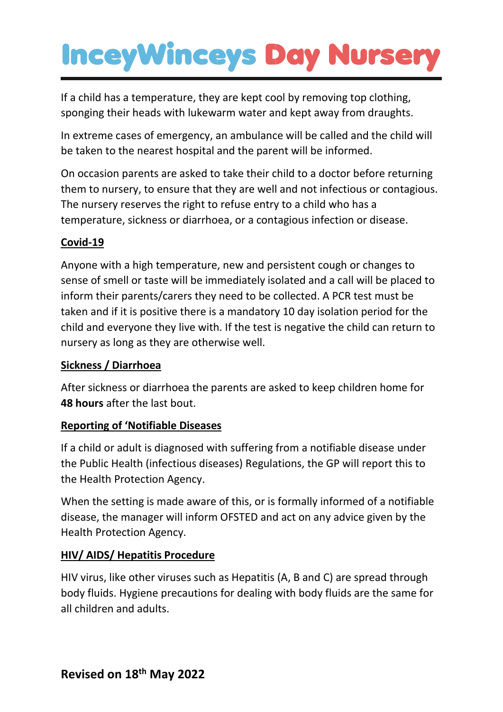# **InceyWinceys Day Nursery**

If a child has a temperature, they are kept cool by removing top clothing, sponging their heads with lukewarm water and kept away from draughts.

In extreme cases of emergency, an ambulance will be called and the child will be taken to the nearest hospital and the parent will be informed.

On occasion parents are asked to take their child to a doctor before returning them to nursery, to ensure that they are well and not infectious or contagious. The nursery reserves the right to refuse entry to a child who has a temperature, sickness or diarrhoea, or a contagious infection or disease.

#### **Covid-19**

Anyone with a high temperature, new and persistent cough or changes to sense of smell or taste will be immediately isolated and a call will be placed to inform their parents/carers they need to be collected. A PCR test must be taken and if it is positive there is a mandatory 10 day isolation period for the child and everyone they live with. If the test is negative the child can return to nursery as long as they are otherwise well.

#### **Sickness / Diarrhoea**

After sickness or diarrhoea the parents are asked to keep children home for **48 hours** after the last bout.

#### **Reporting of 'Notifiable Diseases**

If a child or adult is diagnosed with suffering from a notifiable disease under the Public Health (infectious diseases) Regulations, the GP will report this to the Health Protection Agency.

When the setting is made aware of this, or is formally informed of a notifiable disease, the manager will inform OFSTED and act on any advice given by the Health Protection Agency.

#### **HIV/ AIDS/ Hepatitis Procedure**

HIV virus, like other viruses such as Hepatitis (A, B and C) are spread through body fluids. Hygiene precautions for dealing with body fluids are the same for all children and adults.